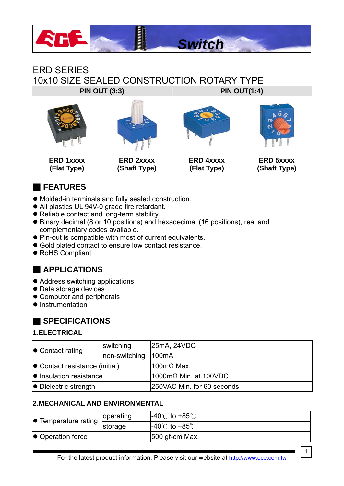

# ERD SERIES 10x10 SIZE SEALED CONSTRUCTION ROTARY TYPE

|                                 | <b>PIN OUT (3:3)</b>             | <b>PIN OUT(1:4)</b>             |                                  |  |  |  |  |
|---------------------------------|----------------------------------|---------------------------------|----------------------------------|--|--|--|--|
|                                 | $\sim$                           | っ<br>c                          |                                  |  |  |  |  |
| <b>ERD 1xxxx</b><br>(Flat Type) | <b>ERD 2xxxx</b><br>(Shaft Type) | <b>ERD 4xxxx</b><br>(Flat Type) | <b>ERD 5xxxx</b><br>(Shaft Type) |  |  |  |  |

# ■ **FEATURES**

- $\bullet$  Molded-in terminals and fully sealed construction.
- All plastics UL 94V-0 grade fire retardant.
- Reliable contact and long-term stability.
- Binary decimal (8 or 10 positions) and hexadecimal (16 positions), real and complementary codes available.
- Pin-out is compatible with most of current equivalents.
- Gold plated contact to ensure low contact resistance.
- RoHS Compliant

## ■ **APPLICATIONS**

- Address switching applications
- Data storage devices
- Computer and peripherals
- Instrumentation

#### ■ **SPECIFICATIONS**

#### **1.ELECTRICAL**

| $\bullet$ Contact rating               | switching     | 25mA, 24VDC                          |  |  |  |  |
|----------------------------------------|---------------|--------------------------------------|--|--|--|--|
|                                        | non-switching | 100mA                                |  |  |  |  |
| $\bullet$ Contact resistance (initial) |               | $100$ mΩ Max.                        |  |  |  |  |
| $\bullet$ Insulation resistance        |               | $1000 \text{m}\Omega$ Min. at 100VDC |  |  |  |  |
| $\bullet$ Dielectric strength          |               | 250VAC Min. for 60 seconds           |  |  |  |  |

#### **2.MECHANICAL AND ENVIRONMENTAL**

| $\bullet$ Temperature rating | operating | $-40^{\circ}$ C to $+85^{\circ}$ C |
|------------------------------|-----------|------------------------------------|
|                              | storage   | $-40^{\circ}$ C to $+85^{\circ}$ C |
| $\bullet$ Operation force    |           | $ 500$ gf-cm Max.                  |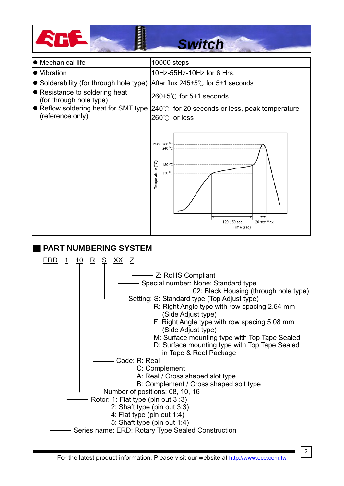



#### ■ **PART NUMBERING SYSTEM**

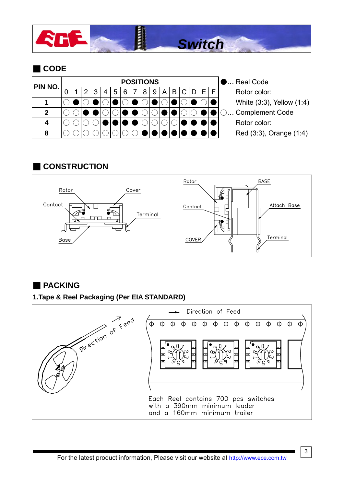

# ■ **CODE**

| PIN NO. | <b>POSITIONS</b> |  |  |   |   |   |  |  |   |   |   |  |  |  | <b>D Real Code</b> |                           |
|---------|------------------|--|--|---|---|---|--|--|---|---|---|--|--|--|--------------------|---------------------------|
|         |                  |  |  | 4 | 5 | 6 |  |  | 9 | A | B |  |  |  |                    | Rotor color:              |
|         |                  |  |  |   |   |   |  |  |   |   |   |  |  |  |                    | White (3:3), Yellow (1:4) |
| כי      |                  |  |  |   |   |   |  |  |   |   |   |  |  |  |                    | ○ Complement Code         |
|         |                  |  |  |   |   |   |  |  |   |   |   |  |  |  |                    | Rotor color:              |
| 8       |                  |  |  |   |   |   |  |  |   |   |   |  |  |  |                    | Red (3.3), Orange (1.4)   |

#### ■ **CONSTRUCTION**



## ■ **PACKING**

#### **1.Tape & Reel Packaging (Per EIA STANDARD)**

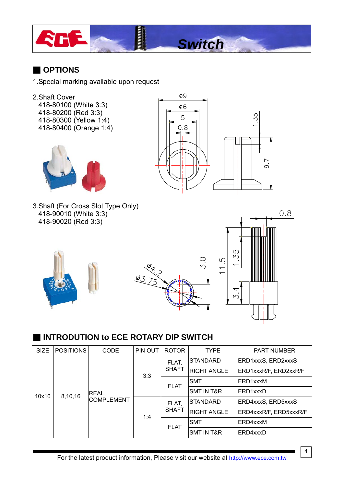

### ■ **OPTIONS**

- 1.Special marking available upon request
- 2.Shaft Cover 418-80100 (White 3:3) 418-80200 (Red 3:3) 418-80300 (Yellow 1:4)
	- 418-80400 (Orange 1:4)





*Switch*

3.Shaft (For Cross Slot Type Only) 418-90010 (White 3:3) 418-90020 (Red 3:3)







## ■ **INTRODUTION to ECE ROTARY DIP SWITCH**

| <b>SIZE</b>      | <b>POSITIONS</b> | <b>CODE</b>                | PIN OUT | <b>ROTOR</b> | <b>TYPE</b>           | <b>PART NUMBER</b>     |
|------------------|------------------|----------------------------|---------|--------------|-----------------------|------------------------|
| 8,10,16<br>10x10 |                  | REAL,<br><b>COMPLEMENT</b> |         | FLAT,        | <b>ISTANDARD</b>      | ERD1xxxS, ERD2xxxS     |
|                  |                  |                            | 3:3     | <b>SHAFT</b> | <b>RIGHT ANGLE</b>    | ERD1xxxR/F, ERD2xxR/F  |
|                  |                  |                            |         | <b>FLAT</b>  | <b>SMT</b>            | ERD1xxxM               |
|                  |                  |                            |         |              | <b>SMT IN T&amp;R</b> | ERD1xxxD               |
|                  |                  |                            | 1:4     | FLAT,        | <b>STANDARD</b>       | ERD4xxxS, ERD5xxxS     |
|                  |                  |                            |         | <b>SHAFT</b> | <b>RIGHT ANGLE</b>    | ERD4xxxR/F, ERD5xxxR/F |
|                  |                  |                            |         | <b>FLAT</b>  | <b>SMT</b>            | ERD4xxxM               |
|                  |                  |                            |         |              | ISMT IN T&R           | ERD4xxxD               |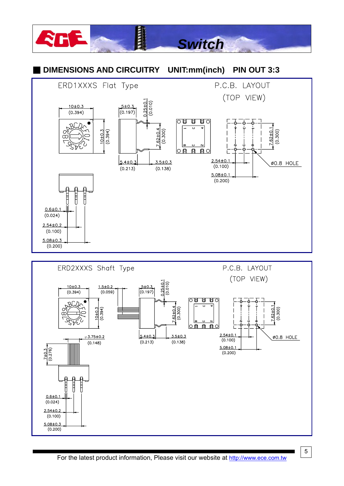#### E **Switch DIMENSIONS AND CIRCUITRY** UNIT:mm(inch) **PIN OUT 3:3** ERD1XXXS Flat Type P.C.B. LAYOUT (TOP VIEW)  $0.25 \pm 0.1$  $(0.010)$  $5 ± 0.3$  $10±0.3$  $(0.197)$  $(0.394)$ 0日 日 日 0  $2.62 \pm 0.4$ <br>(0.300)  $7.62 \pm 0.1$

l a ○自 自 自○

 $3.5 \pm 0.3$ 

 $(0.138)$ 

 $2.54 \pm 0.1$ 

 $(0.100)$ 

 $5.08 \pm 0.1$  $(0.200)$ 

 $\frac{10 \pm 0.3}{(0.394)}$ 

 $5.4 \pm 0.3$ 

 $(0.213)$ 



 $\overline{5}$ 

 $(0.300)$ 

Ø0.8 HOLE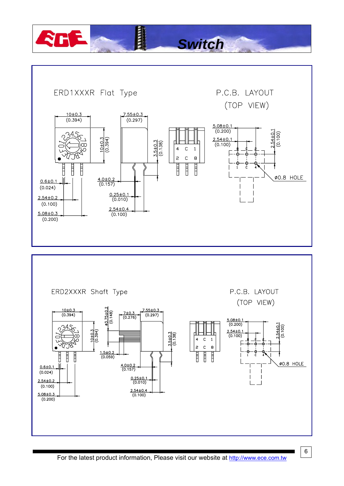

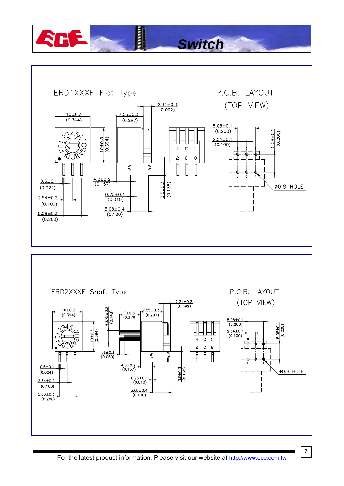

*Switch*

i



For the latest product information, Please visit our website at http://www.ece.com.tw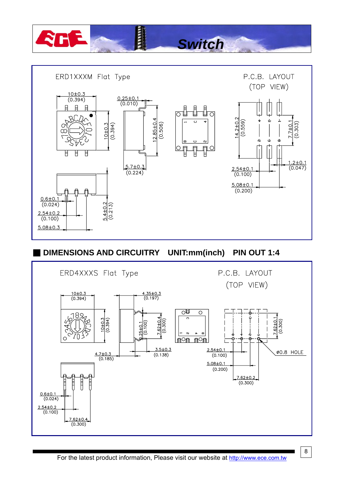



**DIMENSIONS AND CIRCUITRY** UNIT:mm(inch) **PIN OUT 1:4** 



 $\boldsymbol{8}$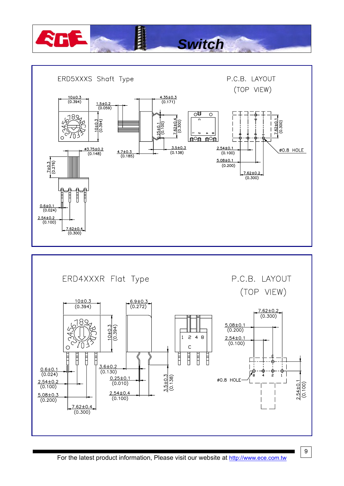

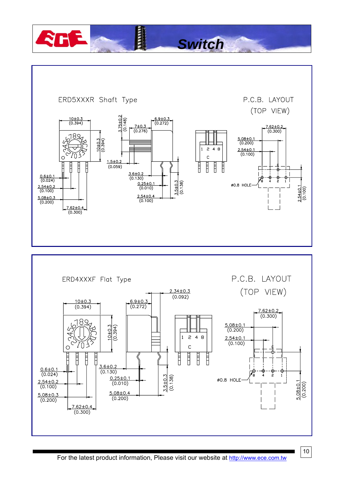**HILLE** 

P.C.B. LAYOUT ERD5XXXR Shaft Type (TOP VIEW) 75±0.2  $\frac{10 \pm 0.3}{(0.394)}$  $\sqrt{(0.148)}$  $\frac{6.9 \pm 0.3}{(0.272)}$  $7 ± 0.3$  $\frac{7.62 \pm 0.2}{(0.300)}$  $(0.276)$ 89  $\frac{5.08\pm0.}{(0.200)}$  $\frac{10+0.3}{(0.394)}$  $\overline{c}$ 4 8  $\frac{2.54\pm0.1}{(0.100)}$ VΠ  $\mathbf c$  $\circ$  $1.5 \pm 0.2$ I  $\overline{\mathbf{H}}$ Ë Ħ Ì  $(0.059)$ Ħ Ħ  $\frac{3.6 \pm 0.2}{(0.130)}$  $\frac{0.6 \pm 0.1}{(0.024)}$  $\overrightarrow{r}$  $\frac{3.5 \pm 0.3}{(0.138)}$  $\frac{0.25 \pm 0.7}{(0.010)}$ Ø0.8 HOLE- $2.54\pm0.1$  (0.100)  $\frac{2.54 \pm 0.2}{(0.100)}$  $\frac{2.54 \pm 0.4}{(0.100)}$  $\frac{5.08 \pm 0.3}{(0.200)}$  $7.62 \pm 0.4$ <br>(0.300)

*Switch*



For the latest product information, Please visit our website at http://www.ece.com.tw